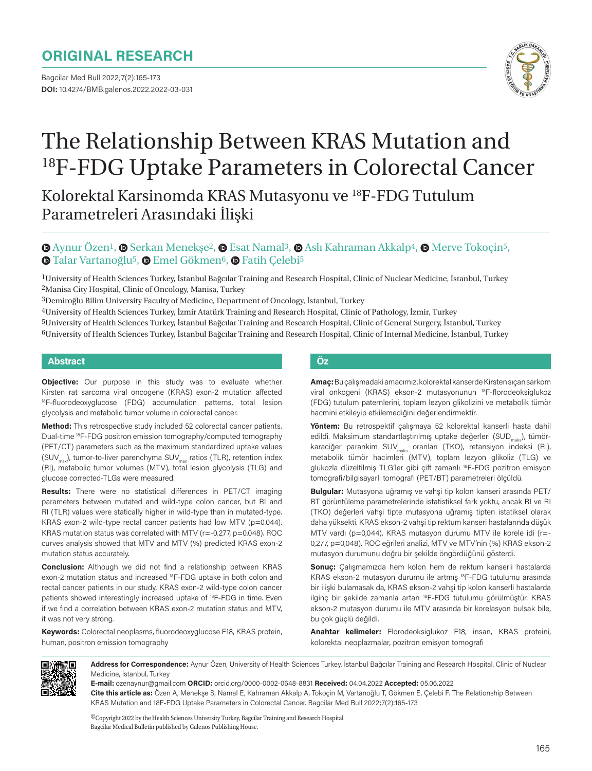## **ORIGINAL RESEARCH**

Bagcilar Med Bull 2022;7(2):165-173 **DOI:** 10.4274/BMB.galenos.2022.2022-03-031



# The Relationship Between KRAS Mutation and <sup>18</sup>F-FDG Uptake Parameters in Colorectal Cancer

Kolorektal Karsinomda KRAS Mutasyonu ve 18F-FDG Tutulum Parametreleri Arasındaki İlişki

## $\bullet$ Aynur Özen<sup>1</sup>,  $\bullet$  Serkan Menekse<sup>2</sup>,  $\bullet$  Esat Namal<sup>3</sup>,  $\bullet$  Aslı Kahraman Akkalp<sup>4</sup>,  $\bullet$  Merve Tokocin<sup>5</sup>,  $\bullet$ **Talar Vartanoğlu<sup>5</sup>,**  $\bullet$  **Emel Gökmen<sup>6</sup>,**  $\bullet$  **Fatih Çelebi<sup>5</sup>**

1University of Health Sciences Turkey, İstanbul Bağcılar Training and Research Hospital, Clinic of Nuclear Medicine, İstanbul, Turkey 2Manisa City Hospital, Clinic of Oncology, Manisa, Turkey

3Demiroğlu Bilim University Faculty of Medicine, Department of Oncology, İstanbul, Turkey

4University of Health Sciences Turkey, İzmir Atatürk Training and Research Hospital, Clinic of Pathology, İzmir, Turkey

5University of Health Sciences Turkey, İstanbul Bağcılar Training and Research Hospital, Clinic of General Surgery, İstanbul, Turkey 6University of Health Sciences Turkey, İstanbul Bağcılar Training and Research Hospital, Clinic of Internal Medicine, İstanbul, Turkey

#### **Abstract Öz**

**Objective:** Our purpose in this study was to evaluate whether Kirsten rat sarcoma viral oncogene (KRAS) exon-2 mutation affected <sup>18</sup>F-fluorodeoxyglucose (FDG) accumulation patterns, total lesion glycolysis and metabolic tumor volume in colorectal cancer.

**Method:** This retrospective study included 52 colorectal cancer patients. Dual-time 18F-FDG positron emission tomography/computed tomography (PET/CT) parameters such as the maximum standardized uptake values (SUV<sub>max</sub>), tumor-to-liver parenchyma SUV<sub>max</sub> ratios (TLR), retention index (RI), metabolic tumor volumes (MTV), total lesion glycolysis (TLG) and glucose corrected-TLGs were measured.

**Results:** There were no statistical differences in PET/CT imaging parameters between mutated and wild-type colon cancer, but RI and RI (TLR) values were statically higher in wild-type than in mutated-type. KRAS exon-2 wild-type rectal cancer patients had low MTV ( $p=0.044$ ). KRAS mutation status was correlated with MTV (r=-0.277, p=0.048). ROC curves analysis showed that MTV and MTV (%) predicted KRAS exon-2 mutation status accurately.

**Conclusion:** Although we did not find a relationship between KRAS exon-2 mutation status and increased 18F-FDG uptake in both colon and rectal cancer patients in our study, KRAS exon-2 wild-type colon cancer patients showed interestingly increased uptake of 18F-FDG in time. Even if we find a correlation between KRAS exon-2 mutation status and MTV, it was not very strong.

**Keywords:** Colorectal neoplasms, fluorodeoxyglucose F18, KRAS protein, human, positron emission tomography

**Amaç:** Bu çalışmadaki amacımız, kolorektal kanserde Kirsten sıçan sarkom viral onkogeni (KRAS) ekson-2 mutasyonunun 18F-florodeoksiglukoz (FDG) tutulum paternlerini, toplam lezyon glikolizini ve metabolik tümör hacmini etkileyip etkilemediğini değerlendirmektir.

**Yöntem:** Bu retrospektif çalışmaya 52 kolorektal kanserli hasta dahil edildi. Maksimum standartlaştırılmış uptake değerleri (SUD<sub>make</sub>), tümörkaraciğer parankim SUV<sub>maks</sub> oranları (TKO), retansiyon indeksi (RI), metabolik tümör hacimleri (MTV), toplam lezyon glikoliz (TLG) ve glukozla düzeltilmiş TLG'ler gibi çift zamanlı 18F-FDG pozitron emisyon tomografi/bilgisayarlı tomografi (PET/BT) parametreleri ölçüldü.

**Bulgular:** Mutasyona uğramış ve vahşi tip kolon kanseri arasında PET/ BT görüntüleme parametrelerinde istatistiksel fark yoktu, ancak RI ve RI (TKO) değerleri vahşi tipte mutasyona uğramış tipten istatiksel olarak daha yüksekti. KRAS ekson-2 vahşi tip rektum kanseri hastalarında düşük MTV vardı (p=0,044). KRAS mutasyon durumu MTV ile korele idi (r=- 0,277, p=0,048). ROC eğrileri analizi, MTV ve MTV'nin (%) KRAS ekson-2 mutasyon durumunu doğru bir şekilde öngördüğünü gösterdi.

**Sonuç:** Çalışmamızda hem kolon hem de rektum kanserli hastalarda KRAS ekson-2 mutasyon durumu ile artmış 18F-FDG tutulumu arasında bir ilişki bulamasak da, KRAS ekson-2 vahşi tip kolon kanserli hastalarda ilginç bir şekilde zamanla artan <sup>18</sup>F-FDG tutulumu görülmüştür. KRAS ekson-2 mutasyon durumu ile MTV arasında bir korelasyon bulsak bile, bu çok güçlü değildi.

**Anahtar kelimeler:** Florodeoksiglukoz F18, insan, KRAS proteini, kolorektal neoplazmalar, pozitron emisyon tomografi



**Address for Correspondence:** Aynur Özen, University of Health Sciences Turkey, İstanbul Bağcılar Training and Research Hospital, Clinic of Nuclear Medicine, İstanbul, Turkey

**E-mail:** ozenaynur@gmail.com **ORCID:** orcid.org/0000-0002-0648-8831 **Received:** 04.04.2022 **Accepted:** 05.06.2022

**Cite this article as:** Özen A, Menekşe S, Namal E, Kahraman Akkalp A, Tokoçin M, Vartanoğlu T, Gökmen E, Çelebi F. The Relationship Between KRAS Mutation and 18F-FDG Uptake Parameters in Colorectal Cancer. Bagcilar Med Bull 2022;7(2):165-173

©Copyright 2022 by the Health Sciences University Turkey, Bagcilar Training and Research Hospital Bagcilar Medical Bulletin published by Galenos Publishing House.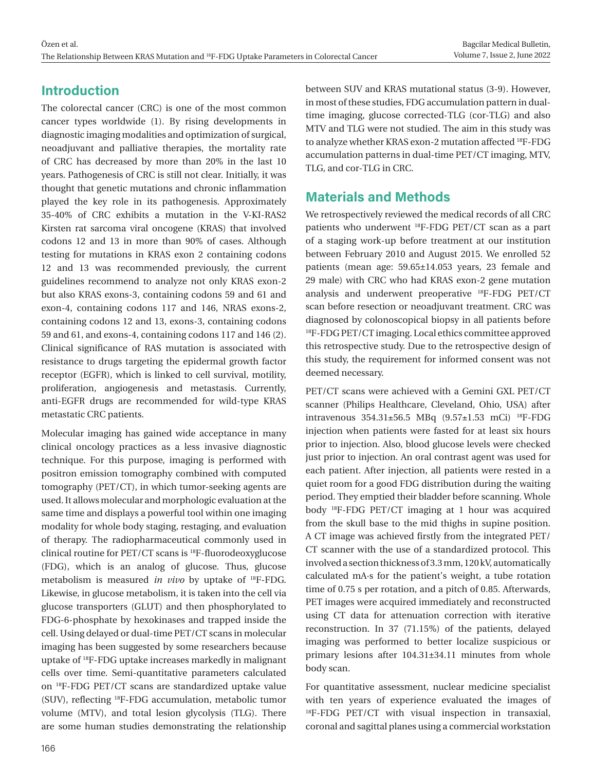## **Introduction**

The colorectal cancer (CRC) is one of the most common cancer types worldwide (1). By rising developments in diagnostic imaging modalities and optimization of surgical, neoadjuvant and palliative therapies, the mortality rate of CRC has decreased by more than 20% in the last 10 years. Pathogenesis of CRC is still not clear. Initially, it was thought that genetic mutations and chronic inflammation played the key role in its pathogenesis. Approximately 35-40% of CRC exhibits a mutation in the V-KI-RAS2 Kirsten rat sarcoma viral oncogene (KRAS) that involved codons 12 and 13 in more than 90% of cases. Although testing for mutations in KRAS exon 2 containing codons 12 and 13 was recommended previously, the current guidelines recommend to analyze not only KRAS exon-2 but also KRAS exons-3, containing codons 59 and 61 and exon-4, containing codons 117 and 146, NRAS exons-2, containing codons 12 and 13, exons-3, containing codons 59 and 61, and exons-4, containing codons 117 and 146 (2). Clinical significance of RAS mutation is associated with resistance to drugs targeting the epidermal growth factor receptor (EGFR), which is linked to cell survival, motility, proliferation, angiogenesis and metastasis. Currently, anti-EGFR drugs are recommended for wild-type KRAS metastatic CRC patients.

Molecular imaging has gained wide acceptance in many clinical oncology practices as a less invasive diagnostic technique. For this purpose, imaging is performed with positron emission tomography combined with computed tomography (PET/CT), in which tumor-seeking agents are used. It allows molecular and morphologic evaluation at the same time and displays a powerful tool within one imaging modality for whole body staging, restaging, and evaluation of therapy. The radiopharmaceutical commonly used in clinical routine for PET/CT scans is 18F-fluorodeoxyglucose (FDG), which is an analog of glucose. Thus, glucose metabolism is measured *in vivo* by uptake of 18F-FDG. Likewise, in glucose metabolism, it is taken into the cell via glucose transporters (GLUT) and then phosphorylated to FDG-6-phosphate by hexokinases and trapped inside the cell. Using delayed or dual-time PET/CT scans in molecular imaging has been suggested by some researchers because uptake of 18F-FDG uptake increases markedly in malignant cells over time. Semi-quantitative parameters calculated on 18F-FDG PET/CT scans are standardized uptake value (SUV), reflecting 18F-FDG accumulation, metabolic tumor volume (MTV), and total lesion glycolysis (TLG). There are some human studies demonstrating the relationship

between SUV and KRAS mutational status (3-9). However, in most of these studies, FDG accumulation pattern in dualtime imaging, glucose corrected-TLG (cor-TLG) and also MTV and TLG were not studied. The aim in this study was to analyze whether KRAS exon-2 mutation affected 18F-FDG accumulation patterns in dual-time PET/CT imaging, MTV, TLG, and cor-TLG in CRC.

## **Materials and Methods**

We retrospectively reviewed the medical records of all CRC patients who underwent 18F-FDG PET/CT scan as a part of a staging work-up before treatment at our institution between February 2010 and August 2015. We enrolled 52 patients (mean age: 59.65±14.053 years, 23 female and 29 male) with CRC who had KRAS exon-2 gene mutation analysis and underwent preoperative 18F-FDG PET/CT scan before resection or neoadjuvant treatment. CRC was diagnosed by colonoscopical biopsy in all patients before <sup>18</sup>F-FDG PET/CT imaging. Local ethics committee approved this retrospective study. Due to the retrospective design of this study, the requirement for informed consent was not deemed necessary.

PET/CT scans were achieved with a Gemini GXL PET/CT scanner (Philips Healthcare, Cleveland, Ohio, USA) after intravenous 354.31±56.5 MBq (9.57±1.53 mCi) 18F-FDG injection when patients were fasted for at least six hours prior to injection. Also, blood glucose levels were checked just prior to injection. An oral contrast agent was used for each patient. After injection, all patients were rested in a quiet room for a good FDG distribution during the waiting period. They emptied their bladder before scanning. Whole body 18F-FDG PET/CT imaging at 1 hour was acquired from the skull base to the mid thighs in supine position. A CT image was achieved firstly from the integrated PET/ CT scanner with the use of a standardized protocol. This involved a section thickness of 3.3 mm, 120 kV, automatically calculated mA∙s for the patient's weight, a tube rotation time of 0.75 s per rotation, and a pitch of 0.85. Afterwards, PET images were acquired immediately and reconstructed using CT data for attenuation correction with iterative reconstruction. In 37 (71.15%) of the patients, delayed imaging was performed to better localize suspicious or primary lesions after 104.31±34.11 minutes from whole body scan.

For quantitative assessment, nuclear medicine specialist with ten years of experience evaluated the images of <sup>18</sup>F-FDG PET/CT with visual inspection in transaxial, coronal and sagittal planes using a commercial workstation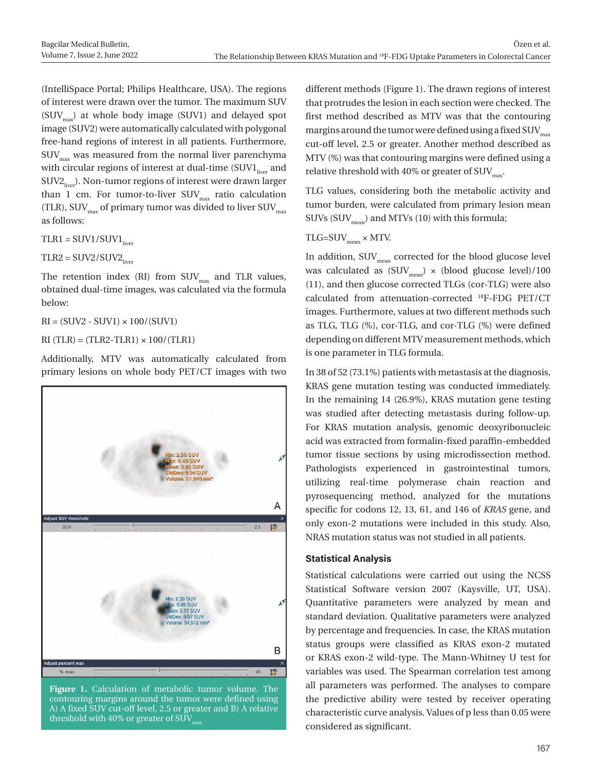(IntelliSpace Portal; Philips Healthcare, USA). The regions of interest were drawn over the tumor. The maximum SUV  $(SUV_{\text{max}})$  at whole body image (SUV1) and delayed spot image (SUV2) were automatically calculated with polygonal free-hand regions of interest in all patients. Furthermore,  $\text{SUV}_{\text{max}}$  was measured from the normal liver parenchyma with circular regions of interest at dual-time (SUV1<sub>liver</sub> and  $SUV2_{\text{line}}$ ). Non-tumor regions of interest were drawn larger than 1 cm. For tumor-to-liver  $\text{SUV}_{\text{max}}$  ratio calculation (TLR), SUV $_{\text{max}}$  of primary tumor was divided to liver SUV $_{\text{max}}$ as follows:

 $TLR1 = SUV1/SUV1$ <sub>liver</sub>

 $TLR2 = SUV2/SUV2$ 

The retention index (RI) from  $\text{SUV}_{\text{max}}$  and TLR values, obtained dual-time images, was calculated via the formula below:

 $RI = (SUV2 - SUV1) \times 100/(SUV1)$ 

 $RI$  (TLR) = (TLR2-TLR1)  $\times$  100/(TLR1)

Additionally, MTV was automatically calculated from primary lesions on whole body PET/CT images with two



**Figure 1.** Calculation of metabolic tumor volume. The contouring margins around the tumor were defined using A) A fixed SUV cut-off level, 2.5 or greater and B) A relative threshold with 40% or greater of  $\text{SUV}_{\text{max}}$ 

different methods (Figure 1). The drawn regions of interest that protrudes the lesion in each section were checked. The first method described as MTV was that the contouring margins around the tumor were defined using a fixed SUV $_{\text{max}}$ cut-off level, 2.5 or greater. Another method described as MTV (%) was that contouring margins were defined using a relative threshold with 40% or greater of  $\text{SUV}_{\text{max}}$ .

TLG values, considering both the metabolic activity and tumor burden, were calculated from primary lesion mean SUVs  $(SUV_{mean})$  and MTVs (10) with this formula;

## $TLG=SUV_{mean} \times MTV$ .

In addition,  $\text{SUV}_{\text{mean}}$  corrected for the blood glucose level was calculated as  $(SUV_{mean}) \times (blood$  glucose level)/100 (11), and then glucose corrected TLGs (cor-TLG) were also calculated from attenuation-corrected 18F-FDG PET/CT images. Furthermore, values at two different methods such as TLG, TLG (%), cor-TLG, and cor-TLG (%) were defined depending on different MTV measurement methods, which is one parameter in TLG formula.

In 38 of 52 (73.1%) patients with metastasis at the diagnosis, KRAS gene mutation testing was conducted immediately. In the remaining 14 (26.9%), KRAS mutation gene testing was studied after detecting metastasis during follow-up. For KRAS mutation analysis, genomic deoxyribonucleic acid was extracted from formalin-fixed paraffin-embedded tumor tissue sections by using microdissection method. Pathologists experienced in gastrointestinal tumors, utilizing real-time polymerase chain reaction and pyrosequencing method, analyzed for the mutations specific for codons 12, 13, 61, and 146 of *KRAS* gene, and only exon-2 mutations were included in this study. Also, NRAS mutation status was not studied in all patients.

### **Statistical Analysis**

Statistical calculations were carried out using the NCSS Statistical Software version 2007 (Kaysville, UT, USA). Quantitative parameters were analyzed by mean and standard deviation. Qualitative parameters were analyzed by percentage and frequencies. In case, the KRAS mutation status groups were classified as KRAS exon-2 mutated or KRAS exon-2 wild-type. The Mann-Whitney U test for variables was used. The Spearman correlation test among all parameters was performed. The analyses to compare the predictive ability were tested by receiver operating characteristic curve analysis. Values of p less than 0.05 were considered as significant.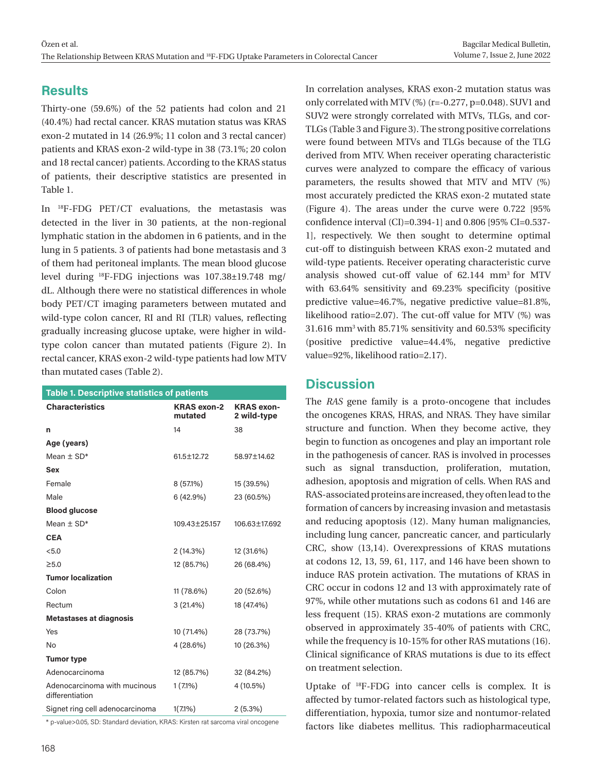## **Results**

Thirty-one (59.6%) of the 52 patients had colon and 21 (40.4%) had rectal cancer. KRAS mutation status was KRAS exon-2 mutated in 14 (26.9%; 11 colon and 3 rectal cancer) patients and KRAS exon-2 wild-type in 38 (73.1%; 20 colon and 18 rectal cancer) patients. According to the KRAS status of patients, their descriptive statistics are presented in Table 1.

In 18F-FDG PET/CT evaluations, the metastasis was detected in the liver in 30 patients, at the non-regional lymphatic station in the abdomen in 6 patients, and in the lung in 5 patients. 3 of patients had bone metastasis and 3 of them had peritoneal implants. The mean blood glucose level during 18F-FDG injections was 107.38±19.748 mg/ dL. Although there were no statistical differences in whole body PET/CT imaging parameters between mutated and wild-type colon cancer, RI and RI (TLR) values, reflecting gradually increasing glucose uptake, were higher in wildtype colon cancer than mutated patients (Figure 2). In rectal cancer, KRAS exon-2 wild-type patients had low MTV than mutated cases (Table 2).

| <b>Table 1. Descriptive statistics of patients</b> |                               |                                  |  |  |  |  |  |
|----------------------------------------------------|-------------------------------|----------------------------------|--|--|--|--|--|
| <b>Characteristics</b>                             | <b>KRAS</b> exon-2<br>mutated | <b>KRAS</b> exon-<br>2 wild-type |  |  |  |  |  |
| n                                                  | 14                            | 38                               |  |  |  |  |  |
| Age (years)                                        |                               |                                  |  |  |  |  |  |
| Mean $\pm$ SD*                                     | 61.5±12.72                    | 58.97±14.62                      |  |  |  |  |  |
| Sex                                                |                               |                                  |  |  |  |  |  |
| Female                                             | 8 (57.1%)                     | 15 (39.5%)                       |  |  |  |  |  |
| Male                                               | 6(42.9%)                      | 23 (60.5%)                       |  |  |  |  |  |
| <b>Blood glucose</b>                               |                               |                                  |  |  |  |  |  |
| Mean $\pm$ SD*                                     | 109.43±25.157                 | 106.63±17.692                    |  |  |  |  |  |
| <b>CEA</b>                                         |                               |                                  |  |  |  |  |  |
| < 5.0                                              | 2 (14.3%)                     | 12 (31.6%)                       |  |  |  |  |  |
| $\geq 5.0$                                         | 12 (85.7%)                    | 26 (68.4%)                       |  |  |  |  |  |
| <b>Tumor localization</b>                          |                               |                                  |  |  |  |  |  |
| Colon                                              | 11 (78.6%)                    | 20 (52.6%)                       |  |  |  |  |  |
| Rectum                                             | 3 (21.4%)                     | 18 (47.4%)                       |  |  |  |  |  |
| <b>Metastases at diagnosis</b>                     |                               |                                  |  |  |  |  |  |
| Yes                                                | 10 (71.4%)                    | 28 (73.7%)                       |  |  |  |  |  |
| No                                                 | 4 (28.6%)                     | 10 (26.3%)                       |  |  |  |  |  |
| <b>Tumor type</b>                                  |                               |                                  |  |  |  |  |  |
| Adenocarcinoma                                     | 12 (85.7%)                    | 32 (84.2%)                       |  |  |  |  |  |
| Adenocarcinoma with mucinous<br>differentiation    | $1(7.1\%)$                    | 4 (10.5%)                        |  |  |  |  |  |
| Signet ring cell adenocarcinoma                    | $1(7.1\%)$                    | 2(5.3%)                          |  |  |  |  |  |
|                                                    |                               |                                  |  |  |  |  |  |

\* p-value>0.05, SD: Standard deviation, KRAS: Kirsten rat sarcoma viral oncogene

In correlation analyses, KRAS exon-2 mutation status was only correlated with MTV (%) (r=-0.277, p=0.048). SUV1 and SUV2 were strongly correlated with MTVs, TLGs, and cor-TLGs (Table 3 and Figure 3). The strong positive correlations were found between MTVs and TLGs because of the TLG derived from MTV. When receiver operating characteristic curves were analyzed to compare the efficacy of various parameters, the results showed that MTV and MTV (%) most accurately predicted the KRAS exon-2 mutated state (Figure 4). The areas under the curve were 0.722 [95% confidence interval (CI)=0.394-1] and 0.806 [95% CI=0.537- 1], respectively. We then sought to determine optimal cut-off to distinguish between KRAS exon-2 mutated and wild-type patients. Receiver operating characteristic curve analysis showed cut-off value of 62.144 mm3 for MTV with 63.64% sensitivity and 69.23% specificity (positive predictive value=46.7%, negative predictive value=81.8%, likelihood ratio=2.07). The cut-off value for MTV (%) was 31.616 mm3 with 85.71% sensitivity and 60.53% specificity (positive predictive value=44.4%, negative predictive value=92%, likelihood ratio=2.17).

## **Discussion**

The *RAS* gene family is a proto-oncogene that includes the oncogenes KRAS, HRAS, and NRAS. They have similar structure and function. When they become active, they begin to function as oncogenes and play an important role in the pathogenesis of cancer. RAS is involved in processes such as signal transduction, proliferation, mutation, adhesion, apoptosis and migration of cells. When RAS and RAS-associated proteins are increased, they often lead to the formation of cancers by increasing invasion and metastasis and reducing apoptosis (12). Many human malignancies, including lung cancer, pancreatic cancer, and particularly CRC, show (13,14). Overexpressions of KRAS mutations at codons 12, 13, 59, 61, 117, and 146 have been shown to induce RAS protein activation. The mutations of KRAS in CRC occur in codons 12 and 13 with approximately rate of 97%, while other mutations such as codons 61 and 146 are less frequent (15). KRAS exon-2 mutations are commonly observed in approximately 35-40% of patients with CRC, while the frequency is 10-15% for other RAS mutations (16). Clinical significance of KRAS mutations is due to its effect on treatment selection.

Uptake of 18F-FDG into cancer cells is complex. It is affected by tumor-related factors such as histological type, differentiation, hypoxia, tumor size and nontumor-related factors like diabetes mellitus. This radiopharmaceutical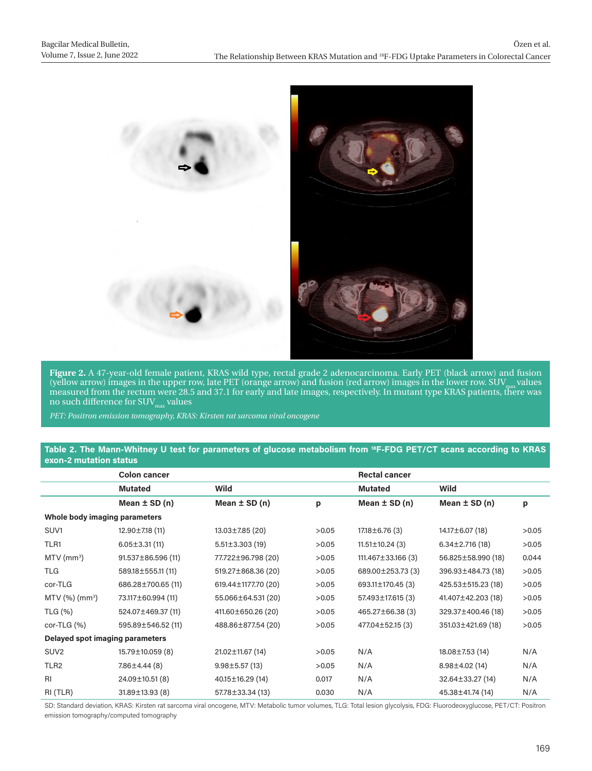

**Figure 2.** A 47-year-old female patient, KRAS wild type, rectal grade 2 adenocarcinoma. Early PET (black arrow) and fusion (yellow arrow) images in the upper row, late PET (orange arrow) and fusion (red arrow) images in the lower row. SUV $_{\text{max}}$  values measured from the rectum were 28.5 and 37.1 for early and late images, respectively. In mutant type KRAS patients, there was no such difference for  $\text{SUV}_{\text{max}}$  values

*PET: Positron emission tomography, KRAS: Kirsten rat sarcoma viral oncogene*

#### **Table 2. The Mann-Whitney U test for parameters of glucose metabolism from 18F-FDG PET/CT scans according to KRAS exon-2 mutation status**

|                                 | <b>Colon cancer</b>      |                      |       | <b>Rectal cancer</b>  |                      |       |  |  |
|---------------------------------|--------------------------|----------------------|-------|-----------------------|----------------------|-------|--|--|
|                                 | <b>Mutated</b>           | Wild                 |       | <b>Mutated</b>        | Wild                 |       |  |  |
|                                 | Mean $\pm$ SD (n)        | Mean $\pm$ SD (n)    | p     | Mean $\pm$ SD (n)     | Mean $\pm$ SD (n)    | р     |  |  |
| Whole body imaging parameters   |                          |                      |       |                       |                      |       |  |  |
| SUV <sub>1</sub>                | $12.90 \pm 7.18$ (11)    | 13.03±7.85 (20)      | >0.05 | $17.18 \pm 6.76$ (3)  | 14.17±6.07 (18)      | >0.05 |  |  |
| TLR <sub>1</sub>                | $6.05 \pm 3.31(11)$      | $5.51 \pm 3.303(19)$ | >0.05 | $11.51 \pm 10.24$ (3) | $6.34 \pm 2.716(18)$ | >0.05 |  |  |
| $MTV$ (mm <sup>3</sup> )        | $91.537 \pm 86.596$ (11) | 77.722±96.798 (20)   | >0.05 | 111.467±33.166 (3)    | 56.825±58.990 (18)   | 0.044 |  |  |
| <b>TLG</b>                      | 589.18±555.11 (11)       | 519.27±868.36 (20)   | >0.05 | 689.00±253.73 (3)     | 396.93±484.73 (18)   | >0.05 |  |  |
| cor-TLG                         | 686.28±700.65 (11)       | 619.44±1177.70 (20)  | >0.05 | 693.11±170.45 (3)     | 425.53±515.23 (18)   | >0.05 |  |  |
| $MTV$ (%) (mm <sup>3</sup> )    | 73.117±60.994 (11)       | 55.066±64.531 (20)   | >0.05 | 57.493±17.615 (3)     | 41.407±42.203 (18)   | >0.05 |  |  |
| TLG (%)                         | 524.07±469.37 (11)       | 411.60±650.26 (20)   | >0.05 | 465.27±66.38(3)       | 329.37±400.46 (18)   | >0.05 |  |  |
| $cor-TLG (%)$                   | 595.89±546.52 (11)       | 488.86±877.54 (20)   | >0.05 | 477.04±52.15 (3)      | 351.03±421.69 (18)   | >0.05 |  |  |
| Delayed spot imaging parameters |                          |                      |       |                       |                      |       |  |  |
| SUV <sub>2</sub>                | 15.79±10.059 (8)         | 21.02±11.67 (14)     | >0.05 | N/A                   | 18.08±7.53 (14)      | N/A   |  |  |
| TLR <sub>2</sub>                | 7.86±4.44 (8)            | $9.98 \pm 5.57(13)$  | >0.05 | N/A                   | $8.98 \pm 4.02$ (14) | N/A   |  |  |
| <b>RI</b>                       | 24.09±10.51(8)           | 40.15±16.29 (14)     | 0.017 | N/A                   | 32.64±33.27 (14)     | N/A   |  |  |
| RI (TLR)                        | $31.89 \pm 13.93$ (8)    | 57.78±33.34 (13)     | 0.030 | N/A                   | 45.38±41.74 (14)     | N/A   |  |  |

SD: Standard deviation, KRAS: Kirsten rat sarcoma viral oncogene, MTV: Metabolic tumor volumes, TLG: Total lesion glycolysis, FDG: Fluorodeoxyglucose, PET/CT: Positron emission tomography/computed tomography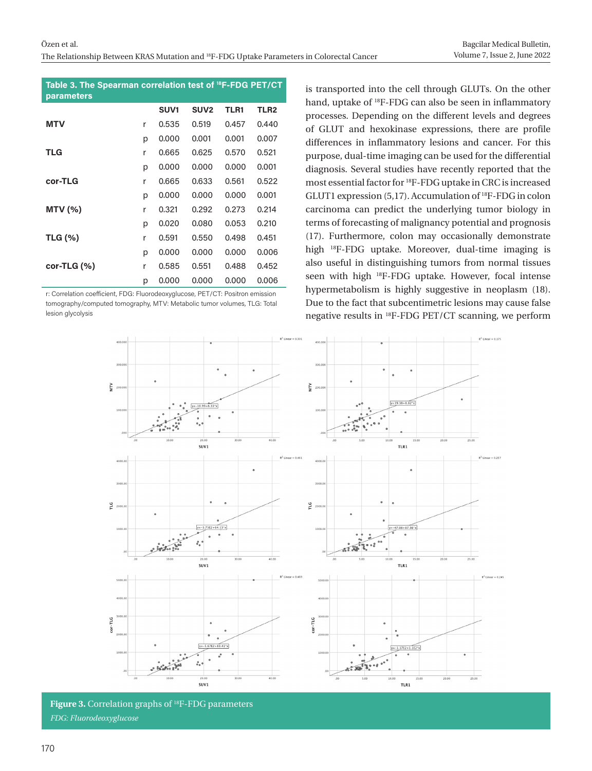| Table 3. The Spearman correlation test of <sup>18</sup> F-FDG PET/CT<br><b>parameters</b> |   |                  |                  |       |                  |
|-------------------------------------------------------------------------------------------|---|------------------|------------------|-------|------------------|
|                                                                                           |   | SUV <sub>1</sub> | SUV <sub>2</sub> | TLR1  | TLR <sub>2</sub> |
| <b>MTV</b>                                                                                | r | 0.535            | 0.519            | 0.457 | 0.440            |
|                                                                                           | р | 0,000            | 0.001            | 0.001 | 0.007            |
| TLG                                                                                       | r | 0.665            | 0.625            | 0.570 | 0.521            |
|                                                                                           | р | 0.000            | 0.000            | 0,000 | 0.001            |
| cor-TLG                                                                                   | r | 0.665            | 0.633            | 0.561 | 0.522            |
|                                                                                           | р | 0,000            | 0,000            | 0,000 | 0.001            |
| MTV(%)                                                                                    | r | 0.321            | 0.292            | 0.273 | 0.214            |
|                                                                                           | p | 0.020            | 0.080            | 0.053 | 0.210            |
| <b>TLG (%)</b>                                                                            | r | 0.591            | 0.550            | 0.498 | 0.451            |
|                                                                                           | р | 0,000            | 0,000            | 0,000 | 0,006            |
| $cor-TLG()$                                                                               | r | 0.585            | 0.551            | 0.488 | 0.452            |
|                                                                                           | р | 0.000            | 0.000            | 0,000 | 0.006            |

r: Correlation coefficient, FDG: Fluorodeoxyglucose, PET/CT: Positron emission tomography/computed tomography, MTV: Metabolic tumor volumes, TLG: Total lesion glycolysis

is transported into the cell through GLUTs. On the other hand, uptake of 18F-FDG can also be seen in inflammatory processes. Depending on the different levels and degrees of GLUT and hexokinase expressions, there are profile differences in inflammatory lesions and cancer. For this purpose, dual-time imaging can be used for the differential diagnosis. Several studies have recently reported that the most essential factor for 18F-FDG uptake in CRC is increased GLUT1 expression (5,17). Accumulation of 18F-FDG in colon carcinoma can predict the underlying tumor biology in terms of forecasting of malignancy potential and prognosis (17). Furthermore, colon may occasionally demonstrate high 18F-FDG uptake. Moreover, dual-time imaging is also useful in distinguishing tumors from normal tissues seen with high 18F-FDG uptake. However, focal intense hypermetabolism is highly suggestive in neoplasm (18). Due to the fact that subcentimetric lesions may cause false negative results in 18F-FDG PET/CT scanning, we perform



**Figure 3.** Correlation graphs of 18F-FDG parameters *FDG: Fluorodeoxyglucose*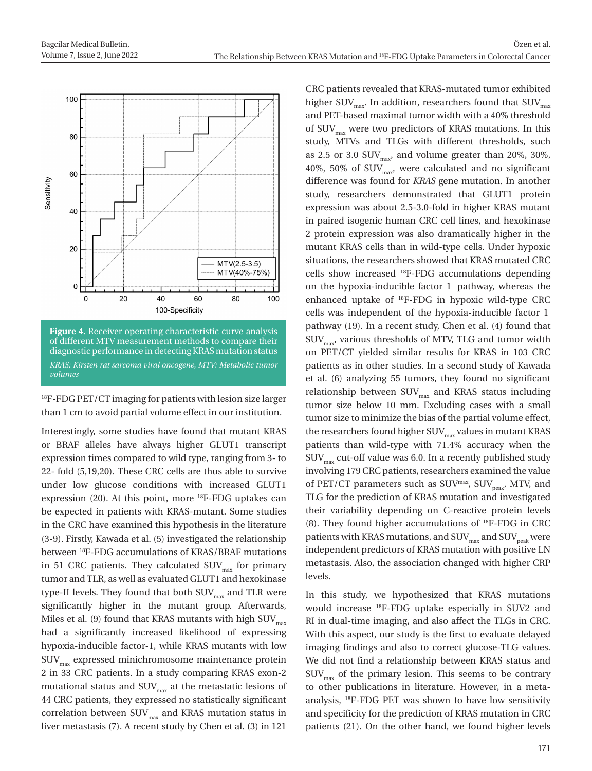

<sup>18</sup>F-FDG PET/CT imaging for patients with lesion size larger than 1 cm to avoid partial volume effect in our institution.

Interestingly, some studies have found that mutant KRAS or BRAF alleles have always higher GLUT1 transcript expression times compared to wild type, ranging from 3- to 22- fold (5,19,20). These CRC cells are thus able to survive under low glucose conditions with increased GLUT1 expression (20). At this point, more 18F-FDG uptakes can be expected in patients with KRAS-mutant. Some studies in the CRC have examined this hypothesis in the literature (3-9). Firstly, Kawada et al. (5) investigated the relationship between 18F-FDG accumulations of KRAS/BRAF mutations in 51 CRC patients. They calculated  $\text{SUV}_{\text{max}}$  for primary tumor and TLR, as well as evaluated GLUT1 and hexokinase type-II levels. They found that both  $\text{SUV}_{\text{max}}$  and TLR were significantly higher in the mutant group. Afterwards, Miles et al. (9) found that KRAS mutants with high  $\text{SUV}_{\text{max}}$ had a significantly increased likelihood of expressing hypoxia-inducible factor-1, while KRAS mutants with low SUVmax expressed minichromosome maintenance protein 2 in 33 CRC patients. In a study comparing KRAS exon-2 mutational status and  $\text{SUV}_{\text{max}}$  at the metastatic lesions of 44 CRC patients, they expressed no statistically significant correlation between  $\text{SUV}_\text{max}$  and KRAS mutation status in liver metastasis (7). A recent study by Chen et al. (3) in 121

CRC patients revealed that KRAS-mutated tumor exhibited higher SUV<sub>max</sub>. In addition, researchers found that SUV<sub>max</sub> and PET-based maximal tumor width with a 40% threshold of  $\text{SUV}_{\text{max}}$  were two predictors of KRAS mutations. In this study, MTVs and TLGs with different thresholds, such as 2.5 or 3.0  $\text{SUV}_{\text{max}}$ , and volume greater than 20%, 30%, 40%, 50% of  $\text{SUV}_{\text{max}}$ , were calculated and no significant difference was found for *KRAS* gene mutation. In another study, researchers demonstrated that GLUT1 protein expression was about 2.5-3.0-fold in higher KRAS mutant in paired isogenic human CRC cell lines, and hexokinase 2 protein expression was also dramatically higher in the mutant KRAS cells than in wild-type cells. Under hypoxic situations, the researchers showed that KRAS mutated CRC cells show increased 18F-FDG accumulations depending on the hypoxia-inducible factor 1 pathway, whereas the enhanced uptake of 18F-FDG in hypoxic wild-type CRC cells was independent of the hypoxia-inducible factor 1 pathway (19). In a recent study, Chen et al. (4) found that  $\text{SUV}_{\text{max}}$ , various thresholds of MTV, TLG and tumor width on PET/CT yielded similar results for KRAS in 103 CRC patients as in other studies. In a second study of Kawada et al. (6) analyzing 55 tumors, they found no significant relationship between  $\text{SUV}_{\text{max}}$  and KRAS status including tumor size below 10 mm. Excluding cases with a small tumor size to minimize the bias of the partial volume effect, the researchers found higher  $\text{SUV}_{\text{max}}$  values in mutant KRAS patients than wild-type with 71.4% accuracy when the  $\text{SUV}_{\text{max}}$  cut-off value was 6.0. In a recently published study involving 179 CRC patients, researchers examined the value of PET/CT parameters such as  $\text{SUV}^{\text{max}}$ ,  $\text{SUV}_{\text{peak}}$ , MTV, and TLG for the prediction of KRAS mutation and investigated their variability depending on C-reactive protein levels (8). They found higher accumulations of 18F-FDG in CRC patients with KRAS mutations, and  $\text{SUV}_\text{max}$  and  $\text{SUV}_\text{peak}$  were independent predictors of KRAS mutation with positive LN metastasis. Also, the association changed with higher CRP levels.

In this study, we hypothesized that KRAS mutations would increase 18F-FDG uptake especially in SUV2 and RI in dual-time imaging, and also affect the TLGs in CRC. With this aspect, our study is the first to evaluate delayed imaging findings and also to correct glucose-TLG values. We did not find a relationship between KRAS status and  $\text{SUV}_{\text{max}}$  of the primary lesion. This seems to be contrary to other publications in literature. However, in a metaanalysis, 18F-FDG PET was shown to have low sensitivity and specificity for the prediction of KRAS mutation in CRC patients (21). On the other hand, we found higher levels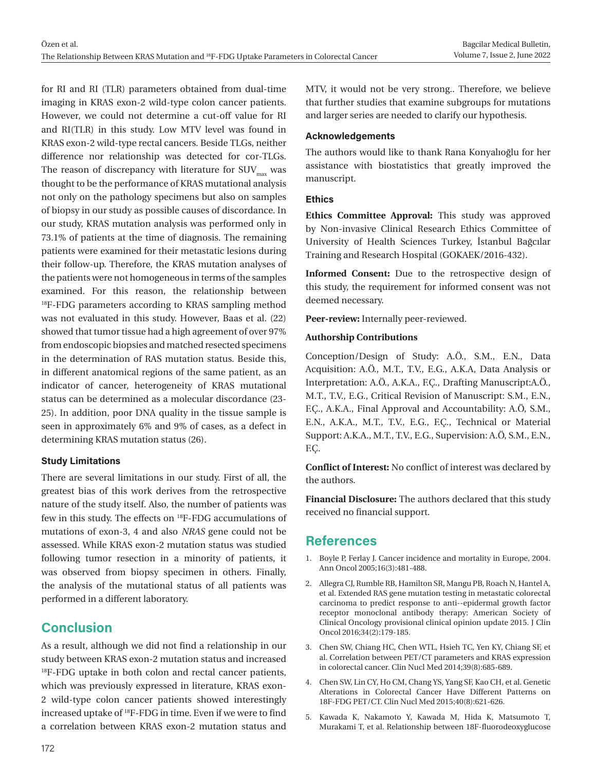for RI and RI (TLR) parameters obtained from dual-time imaging in KRAS exon-2 wild-type colon cancer patients. However, we could not determine a cut-off value for RI and RI(TLR) in this study. Low MTV level was found in KRAS exon-2 wild-type rectal cancers. Beside TLGs, neither difference nor relationship was detected for cor-TLGs. The reason of discrepancy with literature for  $\text{SUV}_{\text{max}}$  was thought to be the performance of KRAS mutational analysis not only on the pathology specimens but also on samples of biopsy in our study as possible causes of discordance. In our study, KRAS mutation analysis was performed only in 73.1% of patients at the time of diagnosis. The remaining patients were examined for their metastatic lesions during their follow-up. Therefore, the KRAS mutation analyses of the patients were not homogeneous in terms of the samples examined. For this reason, the relationship between <sup>18</sup>F-FDG parameters according to KRAS sampling method was not evaluated in this study. However, Baas et al. (22) showed that tumor tissue had a high agreement of over 97% from endoscopic biopsies and matched resected specimens in the determination of RAS mutation status. Beside this, in different anatomical regions of the same patient, as an indicator of cancer, heterogeneity of KRAS mutational status can be determined as a molecular discordance (23- 25). In addition, poor DNA quality in the tissue sample is seen in approximately 6% and 9% of cases, as a defect in determining KRAS mutation status (26).

### **Study Limitations**

There are several limitations in our study. First of all, the greatest bias of this work derives from the retrospective nature of the study itself. Also, the number of patients was few in this study. The effects on 18F-FDG accumulations of mutations of exon-3, 4 and also *NRAS* gene could not be assessed. While KRAS exon-2 mutation status was studied following tumor resection in a minority of patients, it was observed from biopsy specimen in others. Finally, the analysis of the mutational status of all patients was performed in a different laboratory.

## **Conclusion**

As a result, although we did not find a relationship in our study between KRAS exon-2 mutation status and increased <sup>18</sup>F-FDG uptake in both colon and rectal cancer patients, which was previously expressed in literature, KRAS exon-2 wild-type colon cancer patients showed interestingly increased uptake of 18F-FDG in time. Even if we were to find a correlation between KRAS exon-2 mutation status and MTV, it would not be very strong.. Therefore, we believe that further studies that examine subgroups for mutations and larger series are needed to clarify our hypothesis.

#### **Acknowledgements**

The authors would like to thank Rana Konyalıoğlu for her assistance with biostatistics that greatly improved the manuscript.

#### **Ethics**

**Ethics Committee Approval:** This study was approved by Non-invasive Clinical Research Ethics Committee of University of Health Sciences Turkey, İstanbul Bağcılar Training and Research Hospital (GOKAEK/2016-432).

**Informed Consent:** Due to the retrospective design of this study, the requirement for informed consent was not deemed necessary.

**Peer-review:** Internally peer-reviewed.

#### **Authorship Contributions**

Conception/Design of Study: A.Ö., S.M., E.N., Data Acquisition: A.Ö., M.T., T.V., E.G., A.K.A, Data Analysis or Interpretation: A.Ö., A.K.A., F.Ç., Drafting Manuscript:A.Ö., M.T., T.V., E.G., Critical Revision of Manuscript: S.M., E.N., F.Ç., A.K.A., Final Approval and Accountability: A.Ö, S.M., E.N., A.K.A., M.T., T.V., E.G., F.Ç., Technical or Material Support: A.K.A., M.T., T.V., E.G., Supervision: A.Ö, S.M., E.N., F.Ç.

**Conflict of Interest:** No conflict of interest was declared by the authors.

**Financial Disclosure:** The authors declared that this study received no financial support.

## **References**

- 1. Boyle P, Ferlay J. Cancer incidence and mortality in Europe, 2004. Ann Oncol 2005;16(3):481-488.
- 2. Allegra CJ, Rumble RB, Hamilton SR, Mangu PB, Roach N, Hantel A, et al. Extended RAS gene mutation testing in metastatic colorectal carcinoma to predict response to anti--epidermal growth factor receptor monoclonal antibody therapy: American Society of Clinical Oncology provisional clinical opinion update 2015. J Clin Oncol 2016;34(2):179-185.
- 3. Chen SW, Chiang HC, Chen WTL, Hsieh TC, Yen KY, Chiang SF, et al. Correlation between PET/CT parameters and KRAS expression in colorectal cancer. Clin Nucl Med 2014;39(8):685-689.
- 4. Chen SW, Lin CY, Ho CM, Chang YS, Yang SF, Kao CH, et al. Genetic Alterations in Colorectal Cancer Have Different Patterns on 18F-FDG PET/CT. Clin Nucl Med 2015;40(8):621-626.
- 5. Kawada K, Nakamoto Y, Kawada M, Hida K, Matsumoto T, Murakami T, et al. Relationship between 18F-fluorodeoxyglucose